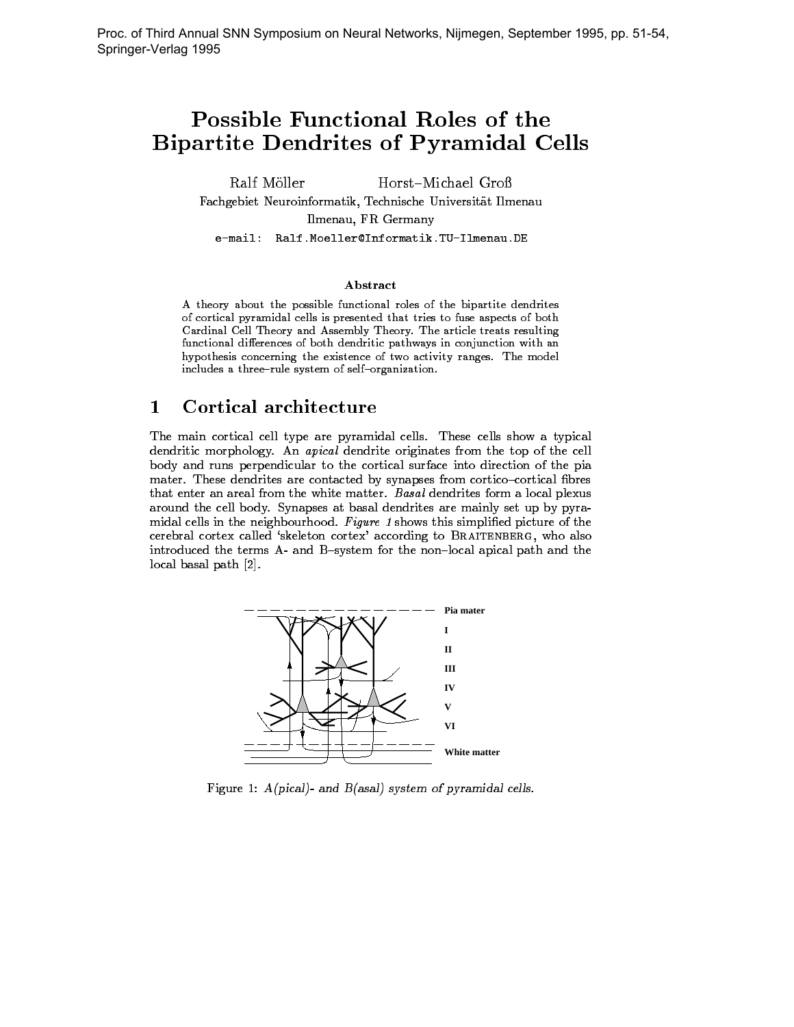# Possible Functional Roles of the Bipartite Dendrites of Pyramidal Cells

Ralf Möller Horst-Michael Groß Fachgebiet Neuroinformatik- Technische Universitat Ilmenau Ilmenau-Leonard Communication and the communication of the communication of the communication of the communication of the communication of the communication of the communication of the communication of the communication of . mail Ralford Corporation and the components of the corporation of the contract of the corporation of the corporation of the corporation of the corporation of the corporation of the corporation of the corporation of the c

### Abstract

A theory about the possible functional roles of the bipartite dendrites of cortical pyramidal cells is presented that tries to fuse aspects of both Cardinal Cell Theory and Assembly Theory- The article treats resulting functional differences of both dendritic pathways in conjunction with an hypothesis concerning the existence of two activity ranges- The model includes a three-rule system of self-organization.

#### $\mathbf{1}$ Cortical architecture

The main cortical cell type are pyramidal cells. These cells show a typical dendritic morphology. An apical dendrite originates from the top of the cell body and runs perpendicular to the cortical surface into direction of the pia mater. These dendrites are contacted by synapses from cortico-cortical fibres that enter an areal from the white matter.  $Basal$  dendrites form a local plexus around the cell body. Synapses at basal dendrites are mainly set up by pyramiddle cells in this neighbourhood Figure - shows this simplicated picture of the the cerebral cortex called skeleton cortex according to Braitfributed, who also introduced the terms A- and B-system for the non-local apical path and the local basal path 



Figure A-pical and B-asal system of pyramidal cells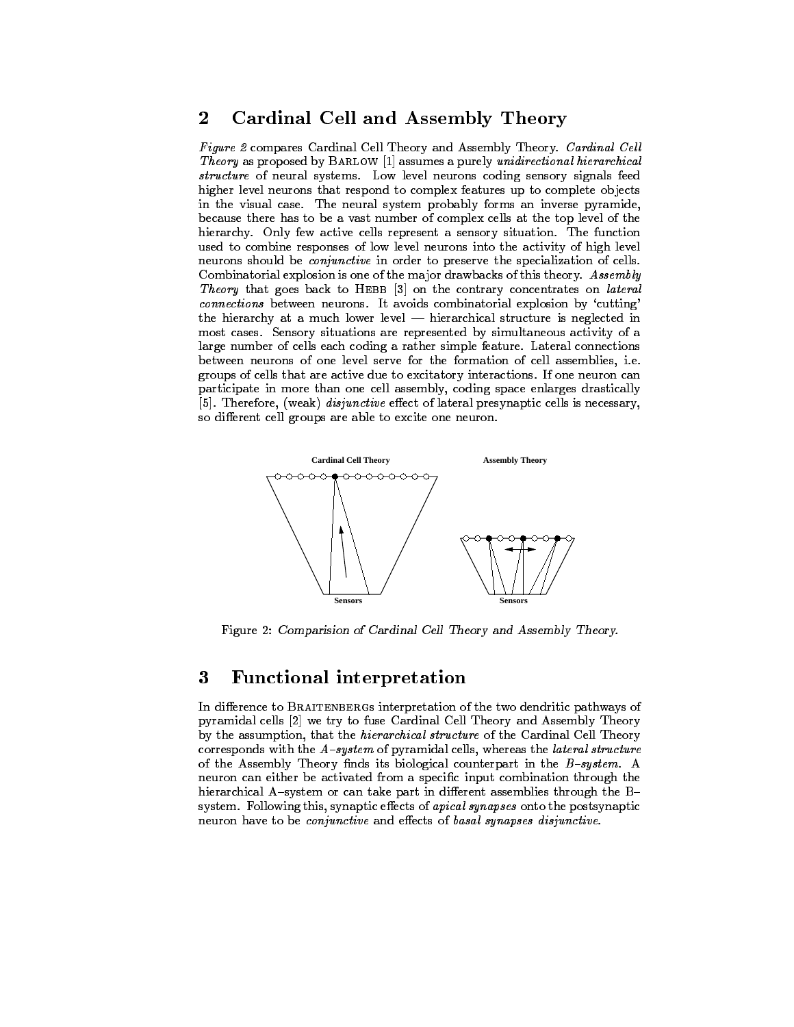#### Cardinal Cell and Assembly Theory  $\overline{2}$

Figure 2 compares Cardinal Cell Theory and Assembly Theory. Cardinal Cell Theory as proposed by Barlow  assumes a purely unidirectional hierarchical structure of neural systems. Low level neurons coding sensory signals feed higher level neurons that respond to complex features up to complete objects in the visual case. The neural system probably forms an inverse pyramide, because there has to be a vast number of complex cells at the top level of the hierarchy. Only few active cells represent a sensory situation. The function used to combine responses of low level neurons into the activity of high level neurons should be conjunctive in order to preserve the specialization of cells Combinatorial explosion is one of the major drawbacks of this theory. Assembly Theory that goes back to HEBB 101 cm the contrary concentrates on later in connections between neurons. It avoids combinatorial explosion by 'cutting' the hierarchy at a much lower level hierarchical structure is neglected in most cases Sensory situations are represented by simultaneous activity of a large number of cells each coding a rather simple feature. Lateral connections between neurons of one level serve for the formation of cell assemblies- ie groups of cells that are active due to excitatory interactions If one neuron can participate in more than one cell assembly- coding space enlarges drastically  Therefore- weak disjunctive eect of lateral presynaptic cells is necessaryso different cell groups are able to excite one neuron.



Figure 2: Comparision of Cardinal Cell Theory and Assembly Theory.

#### 3 Functional interpretation

In difference to BRAITENBERGs interpretation of the two dendritic pathways of pyramidal cells  we try to fuse Cardinal Cell Theory and Assembly Theory by the assumption- that the hierarchical structure of the Cardinal Cell Theory corresponds with the Asystem of pyramidal cells- whereas the lateral structure of the Assembly Theory finds its biological counterpart in the  $B$ -system. A neuron can either be activated from a specific input combination through the hierarchical A-system or can take part in different assemblies through the Bsystem Following this- synaptic eects of apical synapses onto the postsynaptic neuron have to be conjunctive and effects of basal synapses disjunctive.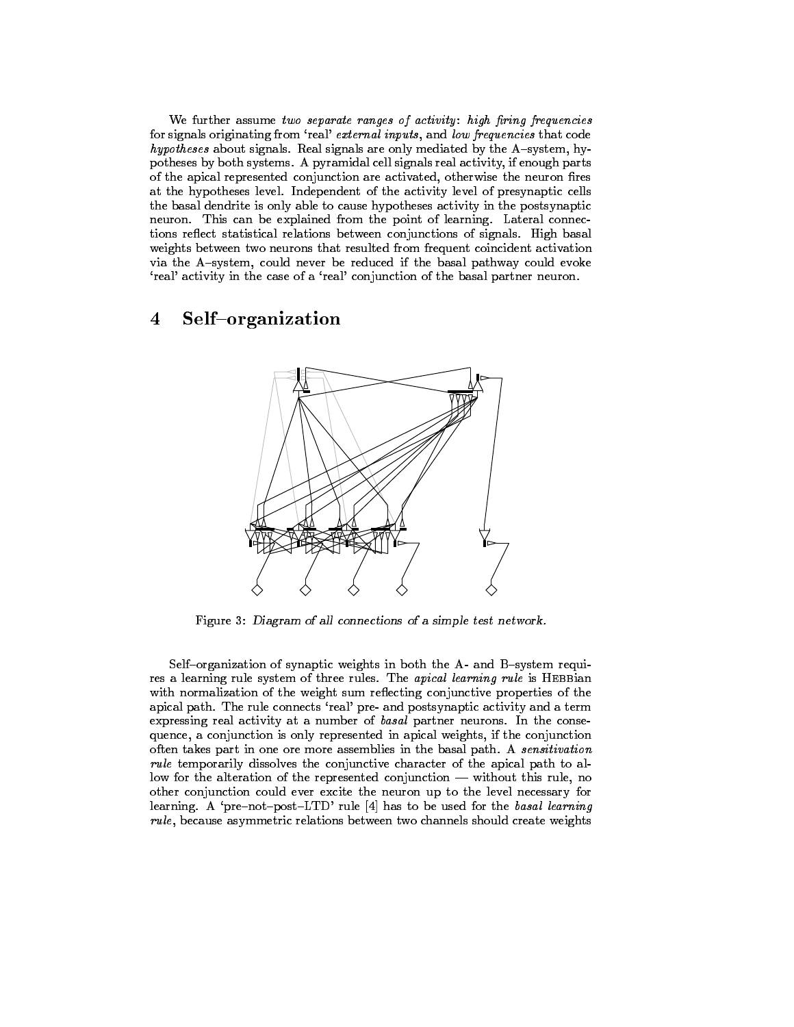We further assume two separate ranges of activity: high firing frequencies for signals originating from real external inputs - and low frequencies that code hypotheses about signals Real signals are only mediated by the Asystem- hy potheses by both systems A pyramidal cell signals real activity- if enough parts of the apical represented conjunction are activated- otherwise the neuron res at the hypotheses level. Independent of the activity level of presynaptic cells the basal dendrite is only able to cause hypotheses activity in the postsynaptic neuron. This can be explained from the point of learning. Lateral connections reflect statistical relations between conjunctions of signals. High basal weights between two neurons that resulted from frequent coincident activation via the Asystem, could never be reduced in the basil pathway could evoke 'real' activity in the case of a 'real' conjunction of the basal partner neuron.

#### Self–organization 4



Figure 3: Diagram of all connections of a simple test network.

Self-organization of synaptic weights in both the A- and B-system requires a learning rule system of three rules. The apical learning rule is HEBBian with normalization of the weight sum reflecting conjunctive properties of the apical path. The rule connects 'real' pre- and postsynaptic activity and a term expressing real activity at a number of basal partner neurons. In the consequence- a conjunction is only represented in apical weights- if the conjunction often takes part in one ore more assemblies in the basal path. A sensitivation rule temporarily dissolves the conjunctive character of the apical path to allow for the alteration of the represented conjunction without this rule- no other conjunction could ever excite the neuron up to the level necessary for learning A prenotpostLTD rule  has to be used for the basal learning rule- because asymmetric relations between two channels should create weights